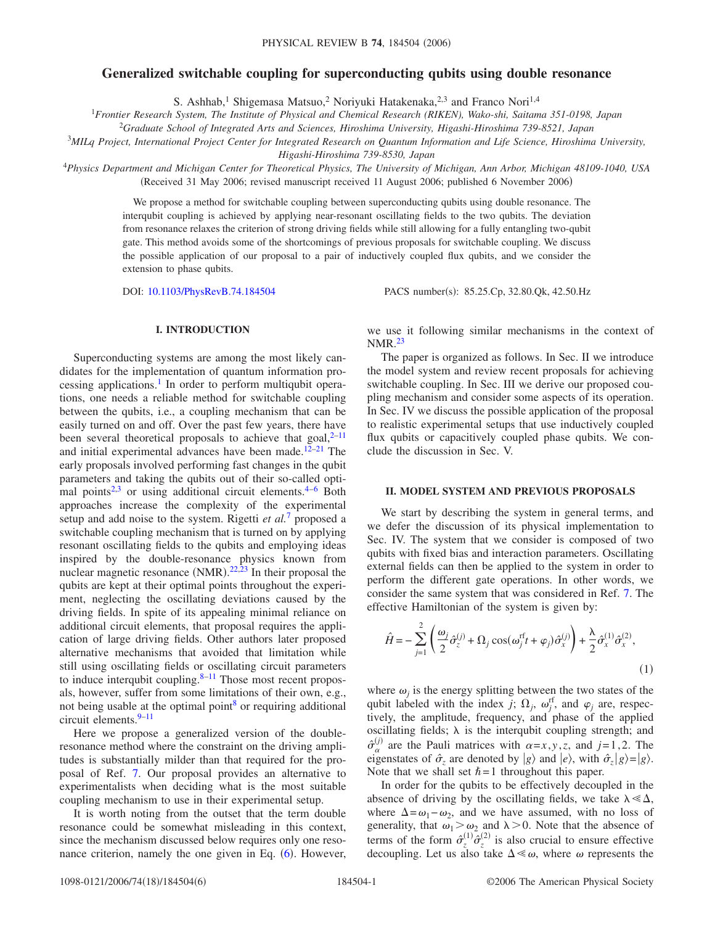# **Generalized switchable coupling for superconducting qubits using double resonance**

S. Ashhab,<sup>1</sup> Shigemasa Matsuo,<sup>2</sup> Noriyuki Hatakenaka,<sup>2,3</sup> and Franco Nori<sup>1,4</sup>

1 *Frontier Research System, The Institute of Physical and Chemical Research (RIKEN), Wako-shi, Saitama 351-0198, Japan*

<sup>2</sup>*Graduate School of Integrated Arts and Sciences, Hiroshima University, Higashi-Hiroshima 739-8521, Japan*

3 *MILq Project, International Project Center for Integrated Research on Quantum Information and Life Science, Hiroshima University,*

*Higashi-Hiroshima 739-8530, Japan*

<sup>4</sup>*Physics Department and Michigan Center for Theoretical Physics, The University of Michigan, Ann Arbor, Michigan 48109-1040, USA* (Received 31 May 2006; revised manuscript received 11 August 2006; published 6 November 2006)

> We propose a method for switchable coupling between superconducting qubits using double resonance. The interqubit coupling is achieved by applying near-resonant oscillating fields to the two qubits. The deviation from resonance relaxes the criterion of strong driving fields while still allowing for a fully entangling two-qubit gate. This method avoids some of the shortcomings of previous proposals for switchable coupling. We discuss the possible application of our proposal to a pair of inductively coupled flux qubits, and we consider the extension to phase qubits.

DOI: [10.1103/PhysRevB.74.184504](http://dx.doi.org/10.1103/PhysRevB.74.184504)

PACS number(s): 85.25.Cp, 32.80.Qk, 42.50.Hz

#### **I. INTRODUCTION**

Superconducting systems are among the most likely candidates for the implementation of quantum information processing applications.<sup>1</sup> In order to perform multiqubit operations, one needs a reliable method for switchable coupling between the qubits, i.e., a coupling mechanism that can be easily turned on and off. Over the past few years, there have been several theoretical proposals to achieve that goal, $2^{-11}$ and initial experimental advances have been made.<sup>12-[21](#page-5-4)</sup> The early proposals involved performing fast changes in the qubit parameters and taking the qubits out of their so-called opti-mal points<sup>2[,3](#page-5-5)</sup> or using additional circuit elements.<sup>4–[6](#page-5-7)</sup> Both approaches increase the complexity of the experimental setup and add noise to the system. Rigetti *et al.*[7](#page-5-8) proposed a switchable coupling mechanism that is turned on by applying resonant oscillating fields to the qubits and employing ideas inspired by the double-resonance physics known from nuclear magnetic resonance  $(NMR).^{22,23}$  $(NMR).^{22,23}$  $(NMR).^{22,23}$  $(NMR).^{22,23}$  In their proposal the qubits are kept at their optimal points throughout the experiment, neglecting the oscillating deviations caused by the driving fields. In spite of its appealing minimal reliance on additional circuit elements, that proposal requires the application of large driving fields. Other authors later proposed alternative mechanisms that avoided that limitation while still using oscillating fields or oscillating circuit parameters to induce interqubit coupling. $8-11$  $8-11$  Those most recent proposals, however, suffer from some limitations of their own, e.g., not being usable at the optimal point $\delta$  or requiring additional circuit elements. $9-11$ 

Here we propose a generalized version of the doubleresonance method where the constraint on the driving amplitudes is substantially milder than that required for the proposal of Ref. [7.](#page-5-8) Our proposal provides an alternative to experimentalists when deciding what is the most suitable coupling mechanism to use in their experimental setup.

It is worth noting from the outset that the term double resonance could be somewhat misleading in this context, since the mechanism discussed below requires only one reso-nance criterion, namely the one given in Eq. ([6](#page-1-0)). However,

we use it following similar mechanisms in the context of NMR[.23](#page-5-10)

The paper is organized as follows. In Sec. II we introduce the model system and review recent proposals for achieving switchable coupling. In Sec. III we derive our proposed coupling mechanism and consider some aspects of its operation. In Sec. IV we discuss the possible application of the proposal to realistic experimental setups that use inductively coupled flux qubits or capacitively coupled phase qubits. We conclude the discussion in Sec. V.

## **II. MODEL SYSTEM AND PREVIOUS PROPOSALS**

We start by describing the system in general terms, and we defer the discussion of its physical implementation to Sec. IV. The system that we consider is composed of two qubits with fixed bias and interaction parameters. Oscillating external fields can then be applied to the system in order to perform the different gate operations. In other words, we consider the same system that was considered in Ref. [7.](#page-5-8) The effective Hamiltonian of the system is given by:

<span id="page-0-0"></span>
$$
\hat{H} = -\sum_{j=1}^{2} \left( \frac{\omega_j}{2} \hat{\sigma}_z^{(j)} + \Omega_j \cos(\omega_j^{rf} t + \varphi_j) \hat{\sigma}_x^{(j)} \right) + \frac{\lambda}{2} \hat{\sigma}_x^{(1)} \hat{\sigma}_x^{(2)},
$$
\n(1)

where  $\omega_i$  is the energy splitting between the two states of the qubit labeled with the index *j*;  $\Omega_j$ ,  $\omega_j^{\text{rf}}$ , and  $\varphi_j$  are, respectively, the amplitude, frequency, and phase of the applied oscillating fields;  $\lambda$  is the interqubit coupling strength; and  $\hat{\sigma}_{\alpha}^{(j)}$  are the Pauli matrices with  $\alpha=x, y, z$ , and  $j=1, 2$ . The eigenstates of  $\hat{\sigma}_z$  are denoted by  $|g\rangle$  and  $|e\rangle$ , with  $\hat{\sigma}_z|g\rangle = |g\rangle$ . Note that we shall set  $\hbar = 1$  throughout this paper.

In order for the qubits to be effectively decoupled in the absence of driving by the oscillating fields, we take  $\lambda \ll \Delta$ , where  $\Delta = \omega_1 - \omega_2$ , and we have assumed, with no loss of generality, that  $\omega_1 > \omega_2$  and  $\lambda > 0$ . Note that the absence of terms of the form  $\hat{\sigma}_z^{(1)} \hat{\sigma}_z^{(2)}$  is also crucial to ensure effective decoupling. Let us also take  $\Delta \ll \omega$ , where  $\omega$  represents the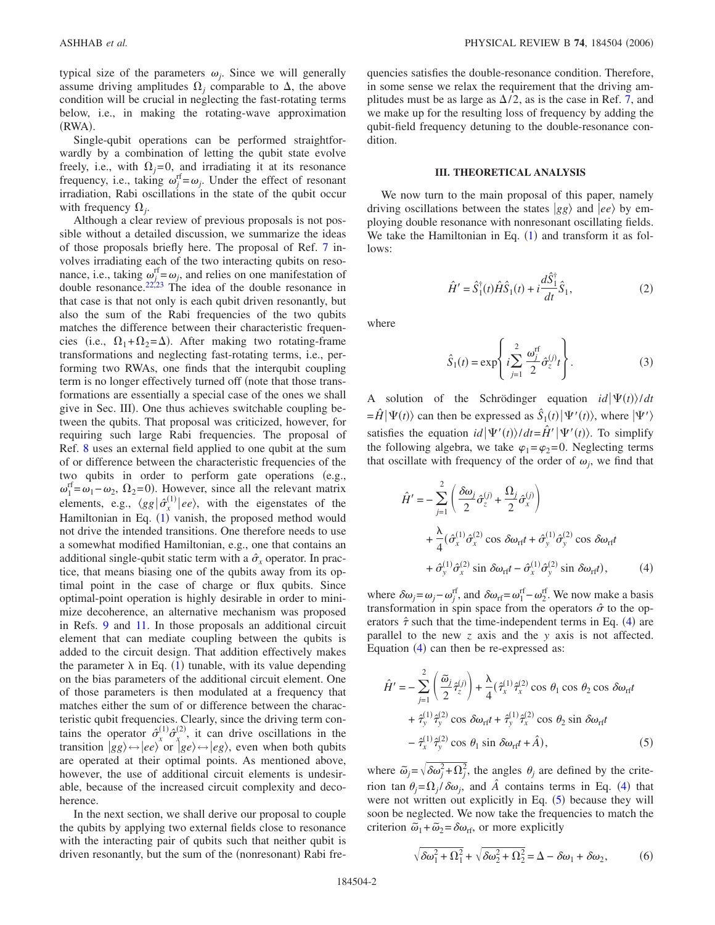typical size of the parameters  $\omega_i$ . Since we will generally assume driving amplitudes  $\Omega_i$  comparable to  $\Delta$ , the above condition will be crucial in neglecting the fast-rotating terms below, i.e., in making the rotating-wave approximation (RWA).

Single-qubit operations can be performed straightforwardly by a combination of letting the qubit state evolve freely, i.e., with  $\Omega_i = 0$ , and irradiating it at its resonance frequency, i.e., taking  $\omega_j^{\text{rf}} = \omega_j$ . Under the effect of resonant irradiation, Rabi oscillations in the state of the qubit occur with frequency  $\Omega_i$ .

Although a clear review of previous proposals is not possible without a detailed discussion, we summarize the ideas of those proposals briefly here. The proposal of Ref. [7](#page-5-8) involves irradiating each of the two interacting qubits on resonance, i.e., taking  $\omega_{j}^{\text{rf}} = \omega_j$ , and relies on one manifestation of double resonance. $22,23$  $22,23$  The idea of the double resonance in that case is that not only is each qubit driven resonantly, but also the sum of the Rabi frequencies of the two qubits matches the difference between their characteristic frequencies (i.e.,  $\Omega_1 + \Omega_2 = \Delta$ ). After making two rotating-frame transformations and neglecting fast-rotating terms, i.e., performing two RWAs, one finds that the interqubit coupling term is no longer effectively turned off (note that those transformations are essentially a special case of the ones we shall give in Sec. III). One thus achieves switchable coupling between the qubits. That proposal was criticized, however, for requiring such large Rabi frequencies. The proposal of Ref. [8](#page-5-11) uses an external field applied to one qubit at the sum of or difference between the characteristic frequencies of the two qubits in order to perform gate operations (e.g.,  $\omega_1^{\text{rf}} = \omega_1 - \omega_2$ ,  $\Omega_2 = 0$ ). However, since all the relevant matrix elements, e.g.,  $\langle gg | \hat{\sigma}_x^{(1)} | ee \rangle$ , with the eigenstates of the Hamiltonian in Eq. ([1](#page-0-0)) vanish, the proposed method would not drive the intended transitions. One therefore needs to use a somewhat modified Hamiltonian, e.g., one that contains an additional single-qubit static term with a  $\hat{\sigma}_x$  operator. In practice, that means biasing one of the qubits away from its optimal point in the case of charge or flux qubits. Since optimal-point operation is highly desirable in order to minimize decoherence, an alternative mechanism was proposed in Refs. [9](#page-5-12) and [11.](#page-5-2) In those proposals an additional circuit element that can mediate coupling between the qubits is added to the circuit design. That addition effectively makes the parameter  $\lambda$  in Eq. ([1](#page-0-0)) tunable, with its value depending on the bias parameters of the additional circuit element. One of those parameters is then modulated at a frequency that matches either the sum of or difference between the characteristic qubit frequencies. Clearly, since the driving term contains the operator  $\hat{\sigma}_x^{(1)} \hat{\sigma}_x^{(2)}$ , it can drive oscillations in the transition  $|gg\rangle \leftrightarrow |ee\rangle$  or  $|ge\rangle \leftrightarrow |eg\rangle$ , even when both qubits are operated at their optimal points. As mentioned above, however, the use of additional circuit elements is undesirable, because of the increased circuit complexity and decoherence.

In the next section, we shall derive our proposal to couple the qubits by applying two external fields close to resonance with the interacting pair of qubits such that neither qubit is driven resonantly, but the sum of the (nonresonant) Rabi frequencies satisfies the double-resonance condition. Therefore, in some sense we relax the requirement that the driving amplitudes must be as large as  $\Delta/2$ , as is the case in Ref. [7,](#page-5-8) and we make up for the resulting loss of frequency by adding the qubit-field frequency detuning to the double-resonance condition.

### **III. THEORETICAL ANALYSIS**

We now turn to the main proposal of this paper, namely driving oscillations between the states  $|gg\rangle$  and  $|ee\rangle$  by employing double resonance with nonresonant oscillating fields. We take the Hamiltonian in Eq.  $(1)$  $(1)$  $(1)$  and transform it as follows:

$$
\hat{H}' = \hat{S}_1^{\dagger}(t)\hat{H}\hat{S}_1(t) + i\frac{d\hat{S}_1^{\dagger}}{dt}\hat{S}_1,
$$
\n(2)

where

$$
\hat{S}_1(t) = \exp\left\{i \sum_{j=1}^2 \frac{\omega_j^{\text{rf}}}{2} \hat{\sigma}_z^{(j)} t\right\}.
$$
 (3)

A solution of the Schrödinger equation  $id|\Psi(t)\rangle/dt$  $=\hat{H}|\Psi(t)\rangle$  can then be expressed as  $\hat{S}_1(t)|\Psi'(t)\rangle$ , where  $|\Psi'\rangle$ satisfies the equation  $id|\Psi'(t)\rangle/dt = \hat{H}'|\Psi'(t)\rangle$ . To simplify the following algebra, we take  $\varphi_1 = \varphi_2 = 0$ . Neglecting terms that oscillate with frequency of the order of  $\omega_i$ , we find that

<span id="page-1-1"></span>
$$
\hat{H}' = -\sum_{j=1}^{2} \left( \frac{\delta \omega_j}{2} \hat{\sigma}_z^{(j)} + \frac{\Omega_j}{2} \hat{\sigma}_x^{(j)} \right)
$$
  
+ 
$$
\frac{\lambda}{4} (\hat{\sigma}_x^{(1)} \hat{\sigma}_x^{(2)} \cos \delta \omega_{\text{rf}} t + \hat{\sigma}_y^{(1)} \hat{\sigma}_y^{(2)} \cos \delta \omega_{\text{rf}} t
$$
  
+ 
$$
\hat{\sigma}_y^{(1)} \hat{\sigma}_x^{(2)} \sin \delta \omega_{\text{rf}} t - \hat{\sigma}_x^{(1)} \hat{\sigma}_y^{(2)} \sin \delta \omega_{\text{rf}} t,
$$
 (4)

where  $\delta \omega_j = \omega_j - \omega_j^{\text{rf}}$ , and  $\delta \omega_{\text{rf}} = \omega_1^{\text{rf}} - \omega_2^{\text{rf}}$ . We now make a basis transformation in spin space from the operators  $\hat{\sigma}$  to the operators  $\hat{\tau}$  such that the time-independent terms in Eq. ([4](#page-1-1)) are parallel to the new *z* axis and the *y* axis is not affected. Equation  $(4)$  $(4)$  $(4)$  can then be re-expressed as:

<span id="page-1-2"></span>
$$
\hat{H}' = -\sum_{j=1}^{2} \left( \frac{\tilde{\omega}_j}{2} \hat{\tau}_z^{(j)} \right) + \frac{\lambda}{4} (\hat{\tau}_x^{(1)} \hat{\tau}_x^{(2)} \cos \theta_1 \cos \theta_2 \cos \delta \omega_{\text{rf}} t \n+ \hat{\tau}_y^{(1)} \hat{\tau}_y^{(2)} \cos \delta \omega_{\text{rf}} t + \hat{\tau}_y^{(1)} \hat{\tau}_x^{(2)} \cos \theta_2 \sin \delta \omega_{\text{rf}} t \n- \hat{\tau}_x^{(1)} \hat{\tau}_y^{(2)} \cos \theta_1 \sin \delta \omega_{\text{rf}} t + \hat{A}),
$$
\n(5)

where  $\tilde{\omega}_j = \sqrt{\delta \omega_j^2 + \Omega_j^2}$ , the angles  $\theta_j$  are defined by the criterion tan  $\theta_j = \Omega_j / \delta \omega_j$ , and  $\hat{A}$  contains terms in Eq. ([4](#page-1-1)) that were not written out explicitly in Eq.  $(5)$  $(5)$  $(5)$  because they will soon be neglected. We now take the frequencies to match the criterion  $\tilde{\omega}_1 + \tilde{\omega}_2 = \delta \omega_{\text{rf}}$ , or more explicitly

<span id="page-1-0"></span>
$$
\sqrt{\delta\omega_1^2 + \Omega_1^2} + \sqrt{\delta\omega_2^2 + \Omega_2^2} = \Delta - \delta\omega_1 + \delta\omega_2, \tag{6}
$$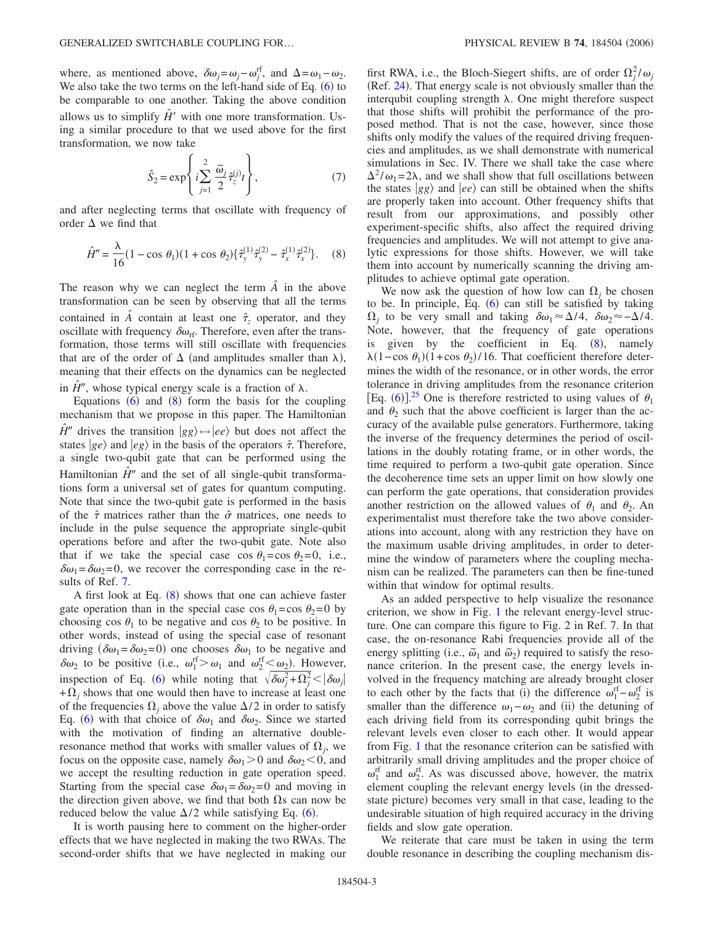where, as mentioned above,  $\delta \omega_j = \omega_j - \omega_j^{\text{rf}}$ , and  $\Delta = \omega_1 - \omega_2$ . We also take the two terms on the left-hand side of Eq.  $(6)$  $(6)$  $(6)$  to be comparable to one another. Taking the above condition allows us to simplify  $\hat{H}'$  with one more transformation. Using a similar procedure to that we used above for the first transformation, we now take

$$
\hat{S}_2 = \exp\left\{ i \sum_{j=1}^2 \frac{\tilde{\omega}_j}{2} \hat{\tau}_z^{(j)} t \right\},\tag{7}
$$

<span id="page-2-0"></span>and after neglecting terms that oscillate with frequency of order  $\Delta$  we find that

$$
\hat{H}'' = \frac{\lambda}{16} (1 - \cos \theta_1)(1 + \cos \theta_2) \{ \hat{\tau}_y^{(1)} \hat{\tau}_y^{(2)} - \hat{\tau}_x^{(1)} \hat{\tau}_x^{(2)} \}. \tag{8}
$$

The reason why we can neglect the term  $\hat{A}$  in the above transformation can be seen by observing that all the terms contained in  $\hat{A}$  contain at least one  $\hat{\tau}_z$  operator, and they oscillate with frequency  $\delta \omega_{\text{rf}}$ . Therefore, even after the transformation, those terms will still oscillate with frequencies that are of the order of  $\Delta$  (and amplitudes smaller than  $\lambda$ ), meaning that their effects on the dynamics can be neglected in  $\hat{H}^{\prime\prime}$ , whose typical energy scale is a fraction of  $\lambda$ .

Equations  $(6)$  $(6)$  $(6)$  and  $(8)$  $(8)$  $(8)$  form the basis for the coupling mechanism that we propose in this paper. The Hamiltonian  $\hat{H}$ <sup>*''*</sup> drives the transition *gg* $\leftrightarrow$  *ee* $\rangle$  but does not affect the states  $|ge\rangle$  and  $|eg\rangle$  in the basis of the operators  $\hat{\tau}$ . Therefore, a single two-qubit gate that can be performed using the Hamiltonian  $\hat{H}^{\prime\prime}$  and the set of all single-qubit transformations form a universal set of gates for quantum computing. Note that since the two-qubit gate is performed in the basis of the  $\hat{\tau}$  matrices rather than the  $\hat{\sigma}$  matrices, one needs to include in the pulse sequence the appropriate single-qubit operations before and after the two-qubit gate. Note also that if we take the special case cos  $\theta_1 = \cos \theta_2 = 0$ , i.e.,  $\delta\omega_1 = \delta\omega_2 = 0$ , we recover the corresponding case in the results of Ref. [7.](#page-5-8)

A first look at Eq.  $(8)$  $(8)$  $(8)$  shows that one can achieve faster gate operation than in the special case cos  $\theta_1$ =cos  $\theta_2$ =0 by choosing cos  $\theta_1$  to be negative and cos  $\theta_2$  to be positive. In other words, instead of using the special case of resonant driving  $(\delta \omega_1 = \delta \omega_2 = 0)$  one chooses  $\delta \omega_1$  to be negative and  $\delta \omega_2$  to be positive (i.e.,  $\omega_1^{\text{rf}} > \omega_1$  and  $\omega_2^{\text{rf}} \leq \omega_2$ ). However, inspection of Eq. ([6](#page-1-0)) while noting that  $\sqrt{\delta \omega_j^2 + \Omega_j^2} < |\delta \omega_j|$  $+\Omega_i$  shows that one would then have to increase at least one of the frequencies  $\Omega_i$  above the value  $\Delta/2$  in order to satisfy Eq. ([6](#page-1-0)) with that choice of  $\delta\omega_1$  and  $\delta\omega_2$ . Since we started with the motivation of finding an alternative doubleresonance method that works with smaller values of  $\Omega_i$ , we focus on the opposite case, namely  $\delta \omega_1 > 0$  and  $\delta \omega_2 < 0$ , and we accept the resulting reduction in gate operation speed. Starting from the special case  $\delta\omega_1 = \delta\omega_2 = 0$  and moving in the direction given above, we find that both  $\Omega$ s can now be reduced below the value  $\Delta/2$  while satisfying Eq. ([6](#page-1-0)).

It is worth pausing here to comment on the higher-order effects that we have neglected in making the two RWAs. The second-order shifts that we have neglected in making our

first RWA, i.e., the Bloch-Siegert shifts, are of order  $\Omega_j^2 / \omega_j$ (Ref. [24](#page-5-13)). That energy scale is not obviously smaller than the interqubit coupling strength  $\lambda$ . One might therefore suspect that those shifts will prohibit the performance of the proposed method. That is not the case, however, since those shifts only modify the values of the required driving frequencies and amplitudes, as we shall demonstrate with numerical simulations in Sec. IV. There we shall take the case where  $\Delta^2/\omega_1$ = 2 $\lambda$ , and we shall show that full oscillations between the states  $|gg\rangle$  and  $|ee\rangle$  can still be obtained when the shifts are properly taken into account. Other frequency shifts that result from our approximations, and possibly other experiment-specific shifts, also affect the required driving frequencies and amplitudes. We will not attempt to give analytic expressions for those shifts. However, we will take them into account by numerically scanning the driving amplitudes to achieve optimal gate operation.

We now ask the question of how low can  $\Omega_i$  be chosen to be. In principle, Eq.  $(6)$  $(6)$  $(6)$  can still be satisfied by taking  $Ω<sub>i</sub>$  to be very small and taking  $δω<sub>1</sub> ≈ Δ/4$ ,  $δω<sub>2</sub> ≈ -Δ/4$ . Note, however, that the frequency of gate operations is given by the coefficient in Eq.  $(8)$  $(8)$  $(8)$ , namely  $\lambda(1-\cos\theta_1)(1+\cos\theta_2)/16$ . That coefficient therefore determines the width of the resonance, or in other words, the error tolerance in driving amplitudes from the resonance criterion [Eq. ([6](#page-1-0))].<sup>[25](#page-5-14)</sup> One is therefore restricted to using values of  $\theta_1$ and  $\theta_2$  such that the above coefficient is larger than the accuracy of the available pulse generators. Furthermore, taking the inverse of the frequency determines the period of oscillations in the doubly rotating frame, or in other words, the time required to perform a two-qubit gate operation. Since the decoherence time sets an upper limit on how slowly one can perform the gate operations, that consideration provides another restriction on the allowed values of  $\theta_1$  and  $\theta_2$ . An experimentalist must therefore take the two above considerations into account, along with any restriction they have on the maximum usable driving amplitudes, in order to determine the window of parameters where the coupling mechanism can be realized. The parameters can then be fine-tuned within that window for optimal results.

As an added perspective to help visualize the resonance criterion, we show in Fig. [1](#page-3-0) the relevant energy-level structure. One can compare this figure to Fig. 2 in Ref. [7.](#page-5-8) In that case, the on-resonance Rabi frequencies provide all of the energy splitting (i.e.,  $\tilde{\omega}_1$  and  $\tilde{\omega}_2$ ) required to satisfy the resonance criterion. In the present case, the energy levels involved in the frequency matching are already brought closer to each other by the facts that (i) the difference  $\omega_1^{\text{rf}} - \omega_2^{\text{rf}}$  is smaller than the difference  $\omega_1 - \omega_2$  and (ii) the detuning of each driving field from its corresponding qubit brings the relevant levels even closer to each other. It would appear from Fig. [1](#page-3-0) that the resonance criterion can be satisfied with arbitrarily small driving amplitudes and the proper choice of  $\omega_1^{\text{rf}}$  and  $\omega_2^{\text{rf}}$ . As was discussed above, however, the matrix element coupling the relevant energy levels (in the dressedstate picture) becomes very small in that case, leading to the undesirable situation of high required accuracy in the driving fields and slow gate operation.

We reiterate that care must be taken in using the term double resonance in describing the coupling mechanism dis-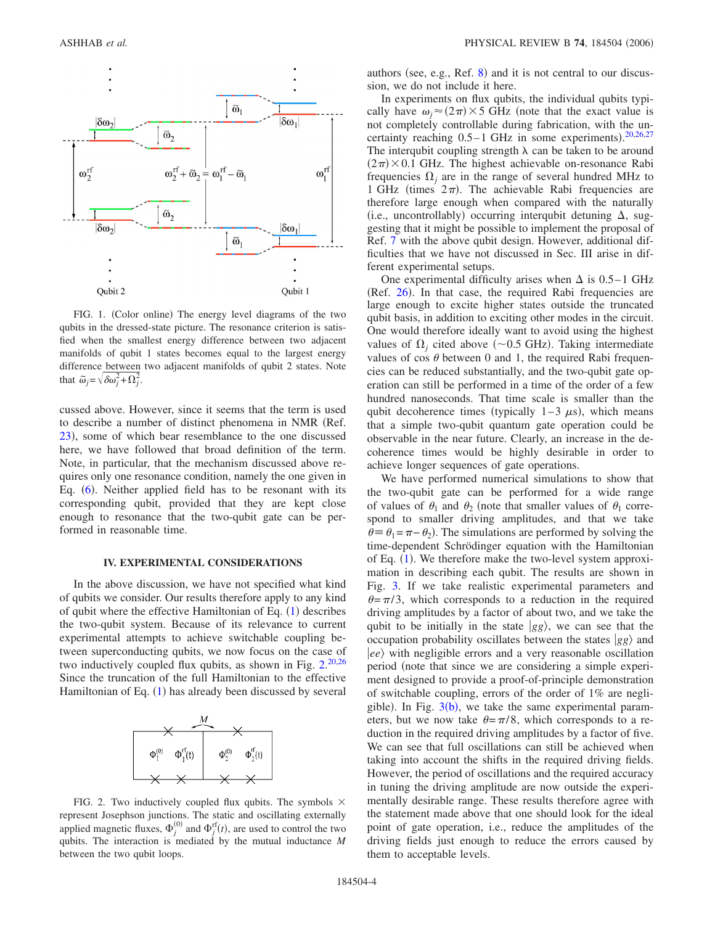<span id="page-3-0"></span>

FIG. 1. (Color online) The energy level diagrams of the two qubits in the dressed-state picture. The resonance criterion is satisfied when the smallest energy difference between two adjacent manifolds of qubit 1 states becomes equal to the largest energy difference between two adjacent manifolds of qubit 2 states. Note that  $\tilde{\omega}_j = \sqrt{\delta \omega_j^2 + \Omega_j^2}$ .

cussed above. However, since it seems that the term is used to describe a number of distinct phenomena in NMR (Ref. [23](#page-5-10)), some of which bear resemblance to the one discussed here, we have followed that broad definition of the term. Note, in particular, that the mechanism discussed above requires only one resonance condition, namely the one given in Eq. ([6](#page-1-0)). Neither applied field has to be resonant with its corresponding qubit, provided that they are kept close enough to resonance that the two-qubit gate can be performed in reasonable time.

#### **IV. EXPERIMENTAL CONSIDERATIONS**

In the above discussion, we have not specified what kind of qubits we consider. Our results therefore apply to any kind of qubit where the effective Hamiltonian of Eq.  $(1)$  $(1)$  $(1)$  describes the two-qubit system. Because of its relevance to current experimental attempts to achieve switchable coupling between superconducting qubits, we now focus on the case of two inductively coupled flux qubits, as shown in Fig. [2.](#page-3-1)<sup>[20,](#page-5-15)[26](#page-5-16)</sup> Since the truncation of the full Hamiltonian to the effective Hamiltonian of Eq.  $(1)$  $(1)$  $(1)$  has already been discussed by several

<span id="page-3-1"></span>

FIG. 2. Two inductively coupled flux qubits. The symbols  $\times$ represent Josephson junctions. The static and oscillating externally applied magnetic fluxes,  $\Phi_j^{(0)}$  and  $\Phi_j^{rf}(t)$ , are used to control the two qubits. The interaction is mediated by the mutual inductance *M* between the two qubit loops.

authors (see, e.g., Ref.  $8$ ) and it is not central to our discussion, we do not include it here.

In experiments on flux qubits, the individual qubits typically have  $\omega_j \approx (2\pi) \times 5$  GHz (note that the exact value is not completely controllable during fabrication, with the uncertainty reaching  $0.5-1$  GHz in some experiments).  $20,26,27$  $20,26,27$  $20,26,27$ The interqubit coupling strength  $\lambda$  can be taken to be around  $(2\pi)$  × 0.1 GHz. The highest achievable on-resonance Rabi frequencies  $\Omega_i$  are in the range of several hundred MHz to 1 GHz (times  $2\pi$ ). The achievable Rabi frequencies are therefore large enough when compared with the naturally (i.e., uncontrollably) occurring interqubit detuning  $\Delta$ , suggesting that it might be possible to implement the proposal of Ref. [7](#page-5-8) with the above qubit design. However, additional difficulties that we have not discussed in Sec. III arise in different experimental setups.

One experimental difficulty arises when  $\Delta$  is 0.5–1 GHz (Ref. [26](#page-5-16)). In that case, the required Rabi frequencies are large enough to excite higher states outside the truncated qubit basis, in addition to exciting other modes in the circuit. One would therefore ideally want to avoid using the highest values of  $\Omega_j$  cited above (~0.5 GHz). Taking intermediate values of cos  $\theta$  between 0 and 1, the required Rabi frequencies can be reduced substantially, and the two-qubit gate operation can still be performed in a time of the order of a few hundred nanoseconds. That time scale is smaller than the qubit decoherence times (typically  $1-3 \mu s$ ), which means that a simple two-qubit quantum gate operation could be observable in the near future. Clearly, an increase in the decoherence times would be highly desirable in order to achieve longer sequences of gate operations.

We have performed numerical simulations to show that the two-qubit gate can be performed for a wide range of values of  $\theta_1$  and  $\theta_2$  (note that smaller values of  $\theta_1$  correspond to smaller driving amplitudes, and that we take  $\theta = \theta_1 = \pi - \theta_2$ ). The simulations are performed by solving the time-dependent Schrödinger equation with the Hamiltonian of Eq.  $(1)$  $(1)$  $(1)$ . We therefore make the two-level system approximation in describing each qubit. The results are shown in Fig. [3.](#page-4-0) If we take realistic experimental parameters and  $\theta = \pi/3$ , which corresponds to a reduction in the required driving amplitudes by a factor of about two, and we take the qubit to be initially in the state  $|gg\rangle$ , we can see that the occupation probability oscillates between the states *gg* and *ee* with negligible errors and a very reasonable oscillation period note that since we are considering a simple experiment designed to provide a proof-of-principle demonstration of switchable coupling, errors of the order of 1% are negligible). In Fig.  $3(b)$  $3(b)$ , we take the same experimental parameters, but we now take  $\theta = \pi/8$ , which corresponds to a reduction in the required driving amplitudes by a factor of five. We can see that full oscillations can still be achieved when taking into account the shifts in the required driving fields. However, the period of oscillations and the required accuracy in tuning the driving amplitude are now outside the experimentally desirable range. These results therefore agree with the statement made above that one should look for the ideal point of gate operation, i.e., reduce the amplitudes of the driving fields just enough to reduce the errors caused by them to acceptable levels.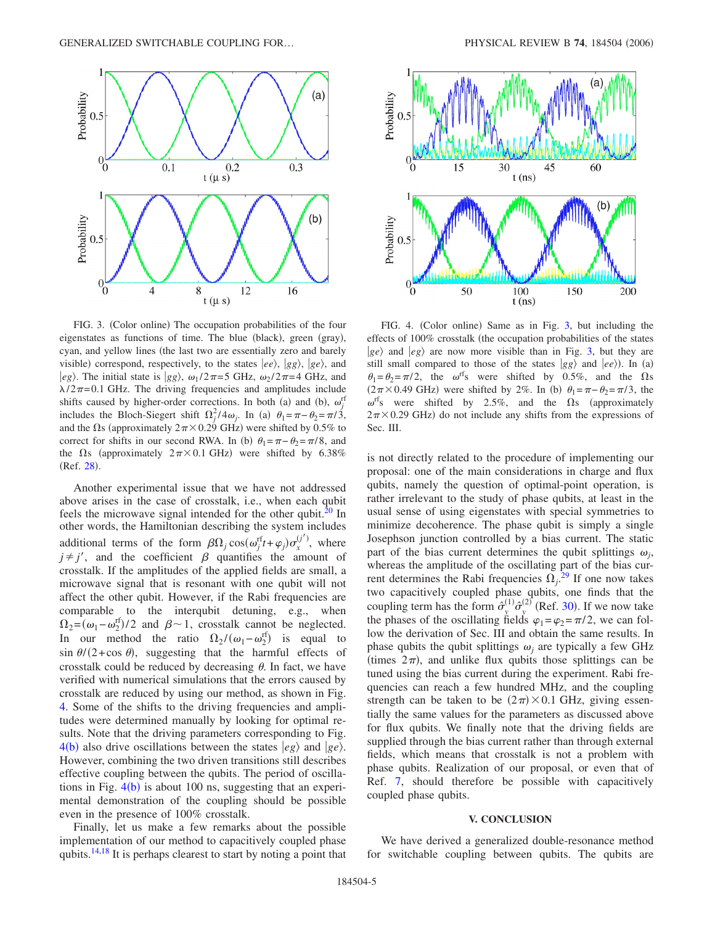<span id="page-4-0"></span>

FIG. 3. (Color online) The occupation probabilities of the four eigenstates as functions of time. The blue (black), green (gray), cyan, and yellow lines (the last two are essentially zero and barely visible) correspond, respectively, to the states  $|ee\rangle$ ,  $|gg\rangle$ ,  $|ge\rangle$ , and  $|eg\rangle$ . The initial state is  $|gg\rangle$ ,  $\omega_1/2\pi=5$  GHz,  $\omega_2/2\pi=4$  GHz, and  $\lambda/2\pi$ =0.1 GHz. The driving frequencies and amplitudes include shifts caused by higher-order corrections. In both (a) and (b),  $\omega_j^{\text{rf}}$ includes the Bloch-Siegert shift  $\Omega_j^2/4\omega_j$ . In (a)  $\theta_1 = \pi - \theta_2 = \pi/3$ , and the  $\Omega$ s (approximately  $2\pi \times 0.29$  GHz) were shifted by 0.5% to correct for shifts in our second RWA. In (b)  $\theta_1 = \pi - \theta_2 = \pi/8$ , and the  $\Omega$ s (approximately  $2\pi \times 0.1$  GHz) were shifted by 6.38% (Ref. [28](#page-5-22)).

Another experimental issue that we have not addressed above arises in the case of crosstalk, i.e., when each qubit feels the microwave signal intended for the other qubit.<sup>20</sup> In other words, the Hamiltonian describing the system includes additional terms of the form  $\beta \Omega_j \cos(\omega_j^{rf} t + \varphi_j) \sigma_x^{(j')}$ , where  $j \neq j'$ , and the coefficient  $\beta$  quantifies the amount of crosstalk. If the amplitudes of the applied fields are small, a microwave signal that is resonant with one qubit will not affect the other qubit. However, if the Rabi frequencies are comparable to the interqubit detuning, e.g., when  $\Omega_2 = (\omega_1 - \omega_2^{\text{rf}})/2$  and  $\beta \sim 1$ , crosstalk cannot be neglected. In our method the ratio  $\Omega_2/(\omega_1 - \omega_2^{\text{rf}})$  is equal to  $\sin \theta / (2 + \cos \theta)$ , suggesting that the harmful effects of crosstalk could be reduced by decreasing  $\theta$ . In fact, we have verified with numerical simulations that the errors caused by crosstalk are reduced by using our method, as shown in Fig. [4.](#page-4-1) Some of the shifts to the driving frequencies and amplitudes were determined manually by looking for optimal results. Note that the driving parameters corresponding to Fig.  $4(b)$  $4(b)$  also drive oscillations between the states  $|eg\rangle$  and  $|ge\rangle$ . However, combining the two driven transitions still describes effective coupling between the qubits. The period of oscillations in Fig.  $4(b)$  $4(b)$  is about 100 ns, suggesting that an experimental demonstration of the coupling should be possible even in the presence of 100% crosstalk.

Finally, let us make a few remarks about the possible implementation of our method to capacitively coupled phase qubits.<sup>14,[18](#page-5-19)</sup> It is perhaps clearest to start by noting a point that

<span id="page-4-1"></span>

FIG. 4. (Color online) Same as in Fig. [3,](#page-4-0) but including the effects of 100% crosstalk (the occupation probabilities of the states  $|ge\rangle$  and  $|eg\rangle$  are now more visible than in Fig. [3,](#page-4-0) but they are still small compared to those of the states  $|gg\rangle$  and  $|ee\rangle$ ). In (a)  $\theta_1 = \theta_2 = \pi/2$ , the  $\omega$ <sup>rf</sup>s were shifted by 0.5%, and the  $\Omega$ s  $(2\pi \times 0.49 \text{ GHz})$  were shifted by 2%. In (b)  $\theta_1 = \pi - \theta_2 = \pi/3$ , the  $\omega$ <sup>rf</sup>s were shifted by 2.5%, and the  $\Omega$ s (approximately  $2\pi \times 0.29$  GHz) do not include any shifts from the expressions of Sec. III.

is not directly related to the procedure of implementing our proposal: one of the main considerations in charge and flux qubits, namely the question of optimal-point operation, is rather irrelevant to the study of phase qubits, at least in the usual sense of using eigenstates with special symmetries to minimize decoherence. The phase qubit is simply a single Josephson junction controlled by a bias current. The static part of the bias current determines the qubit splittings  $\omega_i$ , whereas the amplitude of the oscillating part of the bias current determines the Rabi frequencies  $\Omega_j$ .<sup>[29](#page-5-20)</sup> If one now takes two capacitively coupled phase qubits, one finds that the coupling term has the form  $\hat{\sigma}_y^{(1)} \hat{\sigma}_y^{(2)}$  (Ref. [30](#page-5-21)). If we now take the phases of the oscillating fields  $\varphi_1=\varphi_2=\pi/2$ , we can follow the derivation of Sec. III and obtain the same results. In phase qubits the qubit splittings  $\omega_i$  are typically a few GHz (times  $2\pi$ ), and unlike flux qubits those splittings can be tuned using the bias current during the experiment. Rabi frequencies can reach a few hundred MHz, and the coupling strength can be taken to be  $(2\pi) \times 0.1$  GHz, giving essentially the same values for the parameters as discussed above for flux qubits. We finally note that the driving fields are supplied through the bias current rather than through external fields, which means that crosstalk is not a problem with phase qubits. Realization of our proposal, or even that of Ref. [7,](#page-5-8) should therefore be possible with capacitively coupled phase qubits.

#### **V. CONCLUSION**

We have derived a generalized double-resonance method for switchable coupling between qubits. The qubits are